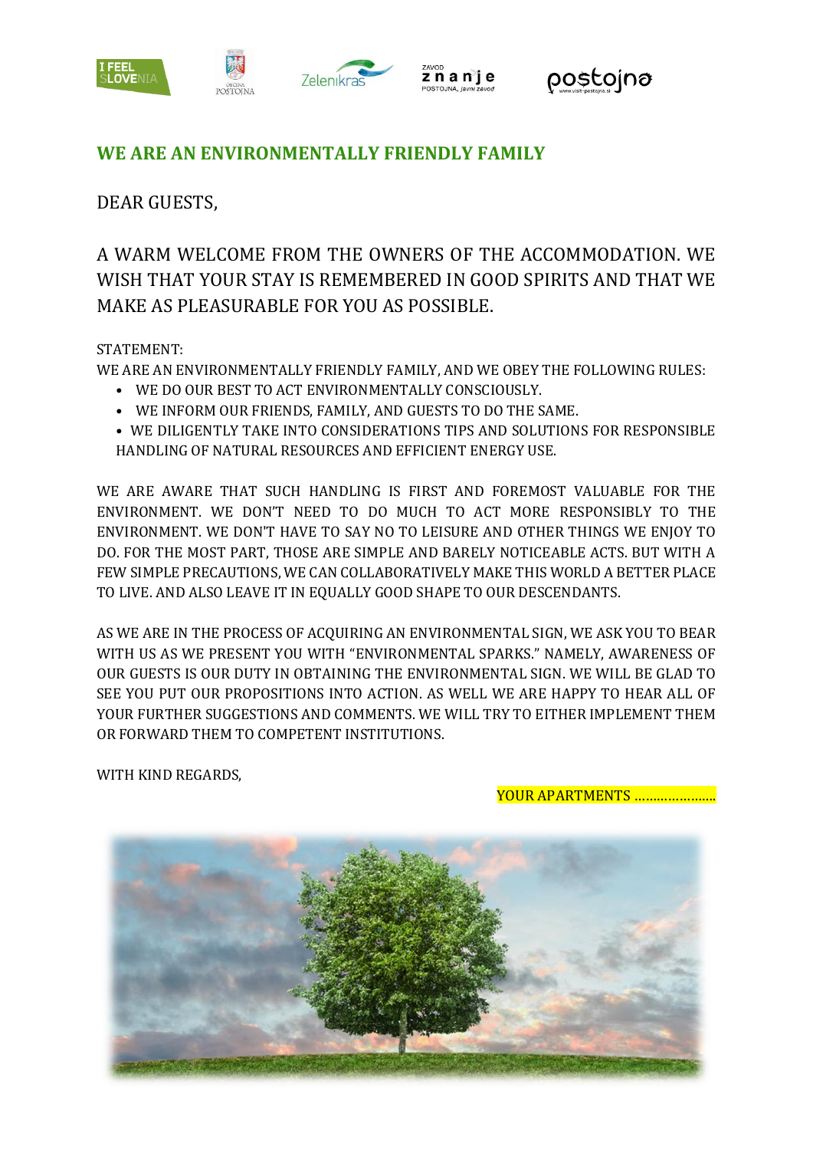





## **WE ARE AN ENVIRONMENTALLY FRIENDLY FAMILY**

DEAR GUESTS,

A WARM WELCOME FROM THE OWNERS OF THE ACCOMMODATION. WE WISH THAT YOUR STAY IS REMEMBERED IN GOOD SPIRITS AND THAT WE MAKE AS PLEASURABLE FOR YOU AS POSSIBLE.

## STATEMENT:

WE ARE AN ENVIRONMENTALLY FRIENDLY FAMILY, AND WE OBEY THE FOLLOWING RULES:

- WE DO OUR BEST TO ACT ENVIRONMENTALLY CONSCIOUSLY.
- WE INFORM OUR FRIENDS, FAMILY, AND GUESTS TO DO THE SAME.
- WE DILIGENTLY TAKE INTO CONSIDERATIONS TIPS AND SOLUTIONS FOR RESPONSIBLE HANDLING OF NATURAL RESOURCES AND EFFICIENT ENERGY USE.

WE ARE AWARE THAT SUCH HANDLING IS FIRST AND FOREMOST VALUABLE FOR THE ENVIRONMENT. WE DON'T NEED TO DO MUCH TO ACT MORE RESPONSIBLY TO THE ENVIRONMENT. WE DON'T HAVE TO SAY NO TO LEISURE AND OTHER THINGS WE ENJOY TO DO. FOR THE MOST PART, THOSE ARE SIMPLE AND BARELY NOTICEABLE ACTS. BUT WITH A FEW SIMPLE PRECAUTIONS, WE CAN COLLABORATIVELY MAKE THIS WORLD A BETTER PLACE TO LIVE. AND ALSO LEAVE IT IN EQUALLY GOOD SHAPE TO OUR DESCENDANTS.

AS WE ARE IN THE PROCESS OF ACQUIRING AN ENVIRONMENTAL SIGN, WE ASK YOU TO BEAR WITH US AS WE PRESENT YOU WITH "ENVIRONMENTAL SPARKS." NAMELY, AWARENESS OF OUR GUESTS IS OUR DUTY IN OBTAINING THE ENVIRONMENTAL SIGN. WE WILL BE GLAD TO SEE YOU PUT OUR PROPOSITIONS INTO ACTION. AS WELL WE ARE HAPPY TO HEAR ALL OF YOUR FURTHER SUGGESTIONS AND COMMENTS. WE WILL TRY TO EITHER IMPLEMENT THEM OR FORWARD THEM TO COMPETENT INSTITUTIONS.

WITH KIND REGARDS,

YOUR APARTMENTS ………………….